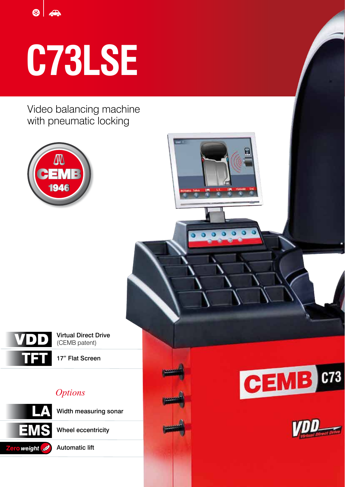$\odot$ 

# **C73LSE**

Video balancing machine with pneumatic locking





Virtual Direct Drive (CEMB patent)

17" Flat Screen

# *Options*



Wheel eccentricity

Automatic lift



 $\overline{\mathbf{o}}$ 

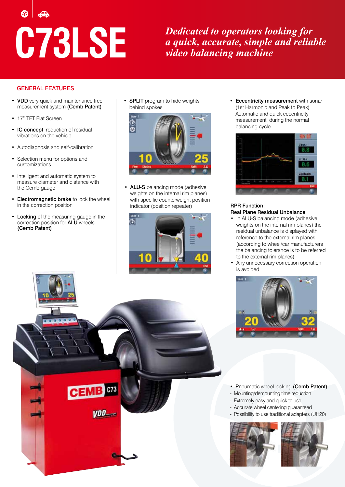**C73LSE** *Dedicated to operators looking for a quick, accurate, simple and reliable video balancing machine* 

#### GENERAL FEATURES

- VDD very quick and maintenance free measurement system (Cemb Patent)
- 17" TFT Flat Screen
- IC concept, reduction of residual vibrations on the vehicle
- Autodiagnosis and self-calibration
- Selection menu for options and customizations
- Intelligent and automatic system to measure diameter and distance with the Cemb gauge
- Electromagnetic brake to lock the wheel in the correction position
- Locking of the measuring gauge in the correction position for ALU wheels (Cemb Patent)

 $C<sub>73</sub>$ 

VDD<sub>-</sub>

• SPLIT program to hide weights behind spokes



• ALU-S balancing mode (adhesive weights on the internal rim planes) with specific counterweight position indicator (position repeater)



• Eccentricity measurement with sonar (1st Harmonic and Peak to Peak) Automatic and quick eccentricity measurement during the normal balancing cycle



#### RPR Function: Real Plane Residual Unbalance

- In ALU-S balancing mode (adhesive weights on the internal rim planes) the residual unbalance is displayed with reference to the external rim planes (according to wheel/car manufacturers the balancing tolerance is to be referred to the external rim planes)
- Any unnecessary correction operation is avoided



- Pneumatic wheel locking (Cemb Patent)
- Mounting/demounting time reduction
	- Extremely easy and quick to use
	- Accurate wheel centering guaranteed
	- Possibility to use traditional adapters (UH20)



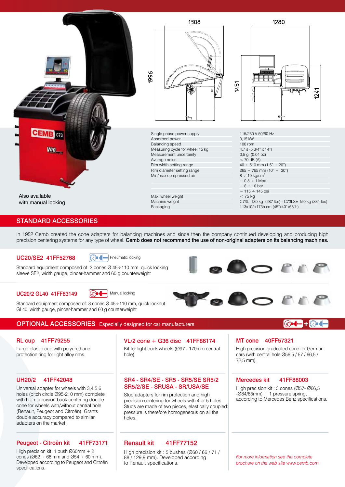

### STANDARD ACCESSORIES

In 1952 Cemb created the cone adapters for balancing machines and since then the company continued developing and producing high precision centering systems for any type of wheel. Cemb does not recommend the use of non-original adapters on its balancing machines.

#### UC20/SE2 41FF52768

**C**<br>Pneumatic locking

Standard equipment composed of: 3 cones Ø 45÷110 mm, quick locking sleeve SE2, width gauge, pincer-hammer and 60 g counterweight



GOOPER

#### UC20/2 GL40 41FF83149



Standard equipment composed of: 3 cones Ø 45÷110 mm, quick locknut GL40, width gauge, pincer-hammer and 60 g counterweight

## OPTIONAL ACCESSORIES Especially designed for car manufacturers

#### RL cup 41FF79255

Large plastic cup with polyurethane protection ring for light alloy rims.

#### UH20/2 41FF42048

holes (pitch circle Ø95-210 mm) complete with high precision back centering double cone for wheels with/without central hole (Renault, Peugeot and Citroën). Grants double accuracy compared to similar adapters on the market.

#### Peugeot - Citroën kit 41FF73171

High precision kit: 1 bush Ø60mm + 2 cones ( $\emptyset$ 62 ÷ 68 mm and  $\emptyset$ 54 ÷ 60 mm). Developed according to Peugeot and Citroën specifications.

#### Kit for light truck wheels (Ø97÷170mm central hole). VL/2 cone + G36 disc 41FF86174

#### SR4 - SR4/SE - SR5 - SR5/SE SR5/2 Universal adapter for wheels with 3,4,5,6 **SR5/2/SE - SRUSA - SR/USA/SE**

Stud adapters for rim protection and high precision centering for wheels with 4 or 5 holes. Studs are made of two pieces, elastically coupled: pressure is therefore homogeneous on all the holes.

#### Renault kit 41FF77152

High precision kit : 5 bushes (Ø60 / 66 / 71 / 88 / 129,9 mm). Developed according to Renault specifications.

#### MT cone 40FF57321

**O** A

High precision graduated cone for German cars (with central hole Ø56,5 / 57 / 66,5 / 72,5 mm).

#### Mercedes kit 41FF88003

High precision kit : 3 cones (Ø57- Ø66,5  $-Ø84/85$ mm) + 1 pressure spring, according to Mercedes Benz specifications.

*For more information see the complete brochure on the web site www.cemb.com*